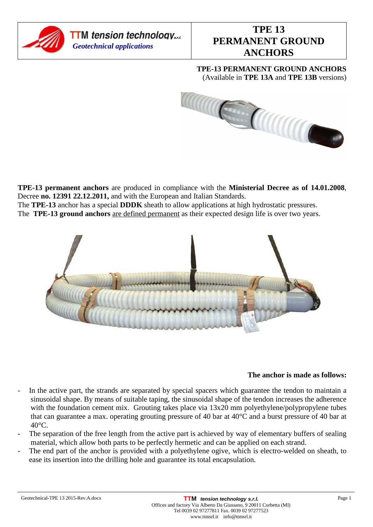

**TPE-13 PERMANENT GROUND ANCHORS**  (Available in **TPE 13A** and **TPE 13B** versions)



**TPE-13 permanent anchors** are produced in compliance with the **Ministerial Decree as of 14.01.2008**, Decree **no. 12391 22.12.2011,** and with the European and Italian Standards.

The **TPE-13** anchor has a special **DDDK** sheath to allow applications at high hydrostatic pressures.

The **TPE-13 ground anchors** are defined permanent as their expected design life is over two years.



# **The anchor is made as follows:**

- In the active part, the strands are separated by special spacers which guarantee the tendon to maintain a sinusoidal shape. By means of suitable taping, the sinusoidal shape of the tendon increases the adherence with the foundation cement mix. Grouting takes place via  $13x20$  mm polyethylene/polypropylene tubes that can guarantee a max. operating grouting pressure of 40 bar at 40°C and a burst pressure of 40 bar at 40°C.
- The separation of the free length from the active part is achieved by way of elementary buffers of sealing material, which allow both parts to be perfectly hermetic and can be applied on each strand.
- The end part of the anchor is provided with a polyethylene ogive, which is electro-welded on sheath, to ease its insertion into the drilling hole and guarantee its total encapsulation.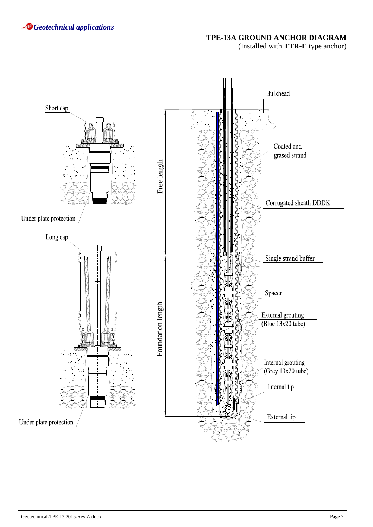# **TPE-13A GROUND ANCHOR DIAGRAM**  (Installed with **TTR-E** type anchor)

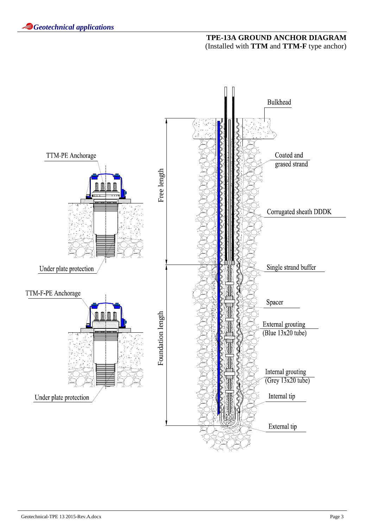### **TPE-13A GROUND ANCHOR DIAGRAM**  (Installed with **TTM** and **TTM-F** type anchor)

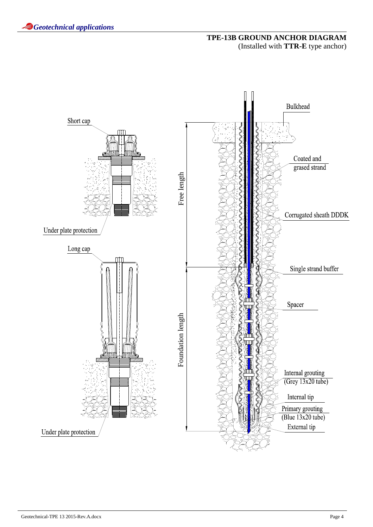# **TPE-13B GROUND ANCHOR DIAGRAM**  (Installed with **TTR-E** type anchor)